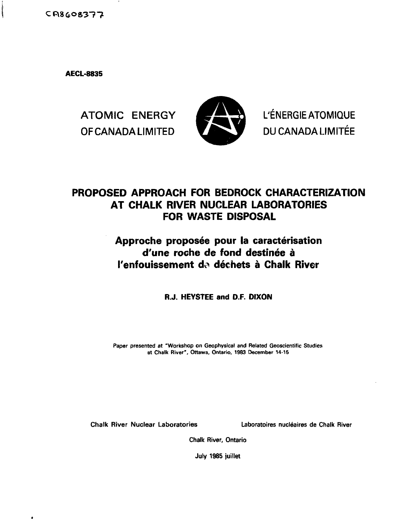$CR8608377$ 

**AECL-8835**



ATOMIC ENERGY **A SERVICE AND L'ÉNERGIE ATOMIQUE** OF CANADA LIMITED **VALUE DU CANADA LIMITÉE** 

# **PROPOSED APPROACH FOR BEDROCK CHARACTERIZATION AT CHALK RIVER NUCLEAR LABORATORIES FOR WASTE DISPOSAL**

# Approche proposée pour la caractérisation **d'une roche de fond destinee a I'enfouissement d«> dechets a Chalk River**

**R.J. HEYSTEE and D.F. DIXON**

**Paper presented at "Workshop on Geophysical and Related Geoscientific Studies at Chalk River", Ottawa. Ontario. 1983 December 14-15**

**Chalk River Nuclear Laboratories Laboratoires nucleates de Chalk River**

**Chalk River, Ontario**

**July 1985 juillet**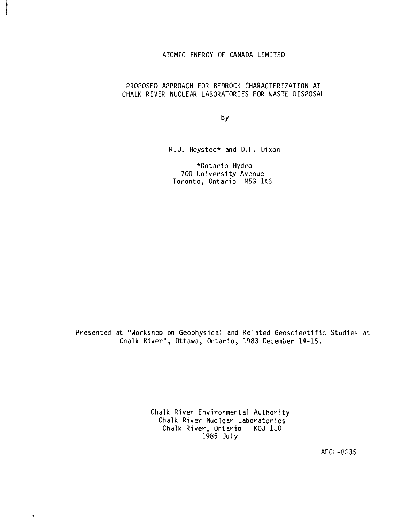## ATOMIC ENERGY OF CANADA LIMITED

## PROPOSED APPROACH FOR BEDROCK CHARACTERIZATION AT CHALK RIVER NUCLEAR LABORATORIES FOR WASTE DISPOSAL

by

R.J. Heystee\* and D.F. Dixon

\*0ntario Hydro 700 University Avenue Toronto, Ontario M5G 1X6

Presented at "Workshop on Geophysical and Related Geoscientific Studies at Chalk River", Ottawa, Ontario, 1983 December 14-15.

> Chalk River Environmental Authority Chalk River Nuclear Laboratories Chalk River, Ontario KOJ 1J0 1985 July

 $\bullet$ 

AECL-8S35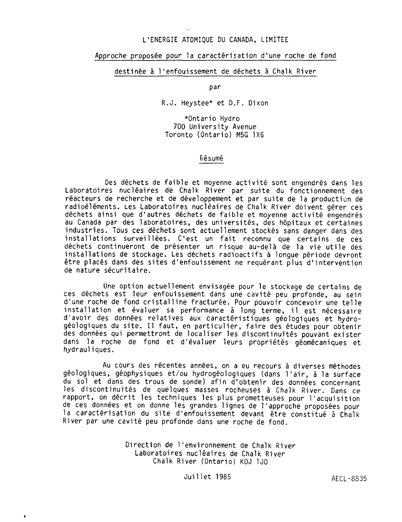#### L'ENERGIE ATOMIQUE DU CANADA, LIMITEE

## Approche proposée pour la caractérisation d'une roche de fond

#### destinée à l'enfouissement de déchets à Chalk River

par

R.J. Heystee\* et D.F. Dixon

\*0ntario Hydro 700 University Avenue Toronto (Ontario) M5G 1X6

#### Résumé

Des déchets de faible et moyenne activité sont engendrés dans les Laboratoires nucléaires de Chalk River par suite du fonctionnement des réacteurs de recherche et de développement et par suite de la production de radioéléments. Les Laboratoires nucléaires de Chalk River doivent gérer ces déchets ainsi que d'autres déchets de faible et moyenne activité engendrés au Canada par des laboratoires, des universités, des hôpitaux et certaines industries. Tous ces déchets sont actuellement stockés sans danger dans des installations surveillées. C'est un fait reconnu que certains de ces déchets continueront de présenter un risque au-delà de la vie utile des installations de stockage. Les déchets radioactifs à longue période devront être placés dans des sites d'enfouissement ne requérant plus d'intervention de nature sécuritaire.

Une option actuellement envisagée pour le stockage de certains de ces déchets est leur enfouissement dans une cavité peu profonde, au sein d'une roche de fond cristalline fracturée. Pour pouvoir concevoir une telle installation et évaluer sa performance à long terme, il est nécessaire d'avoir des données relatives aux caractéristiques géologiques et hydrogéologiques du site. Il faut, en particulier, faire des études pour obtenir des données qui permettront de localiser les discontinuités pouvant exister dans la roche de fond et d'évaluer leurs propriétés géomécaniques et hydrauliques.

Au cours des récentes années, on a eu recours à diverses méthodes géologiques, géophysiques et/ou hydrogéologiques (dans l'air, à la surface du sol et dans des trous de sonde) afin d'obtenir des données concernant les discontinuités de quelques masses rocheuses à Chalk River. Dans ce rapport, on décrit les techniques les plus prometteuses pour l'acquisition de ces données et on donne les grandes lignes de l'approche proposées pour la caractërisation du site d'enfouissement devant être constitué à Chalk River par une cavité peu profonde dans une roche de fond.

> Direction de l'environnement de Chalk River Laboratoires nucléaires de Chalk River Chalk River (Ontario) KOJ 1J0

> > Juillet 1985 AECL-8835

 $\bullet$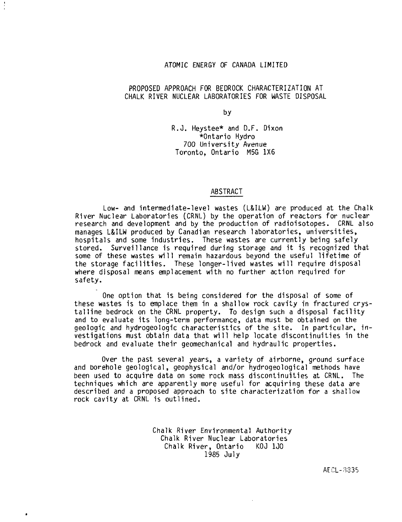## ATOMIC ENERGY OF CANADA LIMITED

#### PROPOSED APPROACH FOR BEDROCK CHARACTERIZATION AT CHALK RIVER NUCLEAR LABORATORIES FOR WASTE DISPOSAL

by

R.O. Heystee\* and D.F. Dixon \*0ntario Hydro Toronto, Ontario M5G 1X6

#### ABSTRACT

Low- and intermediate-level wastes (L&ILW) are produced at the Chalk River Nuclear Laboratories (CRNL) by the operation of reactors for nuclear research and development and by the production of radioisotopes. CRNL also manages L&ILW produced by Canadian research laboratories, universities, hospitals and some industries. These wastes are currently being safely stored. Surveillance is required during storage and it is recognized that some of these wastes will remain hazardous beyond the useful lifetime of the storage facilities. These longer-lived wastes will require disposal where disposal means emplacement with no further action required for safety.

One option that is being considered for the disposal of some of these wastes is to emplace them in a shallow rock cavity in fractured crystalline bedrock on the CRNL property. To design such a disposal facility and to evaluate its long-term performance, data must be obtained on the geologic and hydrogeologic characteristics of the site. In particular, investigations must obtain data that will help locate discontinuities in the bedrock and evaluate their geomechanical and hydraulic properties.

Over the past several years, a variety of airborne, ground surface and borehole geological, geophysical and/or hydrogeological methods have been used to acquire data on some rock mass discontinuities at CRNL. The techniques which are apparently more useful for acquiring these data are described and a proposed approach to site characterization for a shallow rock cavity at CRNL is outlined.

> Chalk River Environmental Authority Chalk River Nuclear Laboratories Chalk River, Ontario 1985 July

> > AECL-3335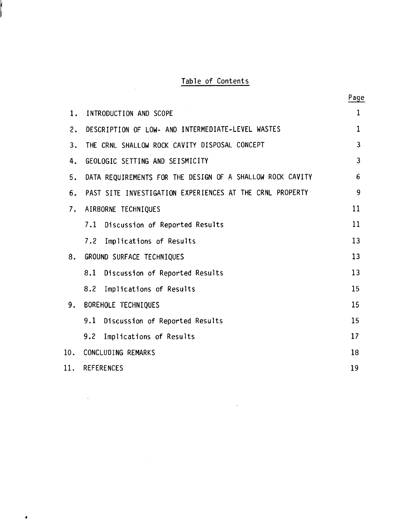## Table of Contents

 $\mathcal{L}_{\mathcal{A}}$ 

 $\mathcal{L}(\mathcal{A})$  and  $\mathcal{L}(\mathcal{A})$ 

 $\bullet$ 

ļ

|     |                                                           | Page                    |
|-----|-----------------------------------------------------------|-------------------------|
| 1.  | INTRODUCTION AND SCOPE                                    | $\mathbf{1}$            |
| 2.  | DESCRIPTION OF LOW- AND INTERMEDIATE-LEVEL WASTES         | $\mathbf{1}$            |
| 3.  | THE CRNL SHALLOW ROCK CAVITY DISPOSAL CONCEPT             | $\overline{\mathbf{3}}$ |
| 4.  | GEOLOGIC SETTING AND SEISMICITY                           | $\overline{3}$          |
| 5.  | DATA REQUIREMENTS FOR THE DESIGN OF A SHALLOW ROCK CAVITY | 6                       |
| 6.  | PAST SITE INVESTIGATION EXPERIENCES AT THE CRNL PROPERTY  | 9                       |
| 7.  | AIRBORNE TECHNIQUES                                       | 11                      |
|     | Discussion of Reported Results<br>7.1                     | 11                      |
|     | 7.2<br>Implications of Results                            | 13                      |
| 8.  | GROUND SURFACE TECHNIQUES                                 | 13                      |
|     | Discussion of Reported Results<br>8.1                     | 13                      |
|     | 8.2<br>Implications of Results                            | 15                      |
| 9.  | BOREHOLE TECHNIQUES                                       | 15                      |
|     | Discussion of Reported Results<br>9.1                     | 15                      |
|     | 9.2<br>Implications of Results                            | 17                      |
| 10. | CONCLUDING REMARKS                                        | 18                      |
| 11. | <b>REFERENCES</b>                                         | 19                      |

 $\sim 10^{-11}$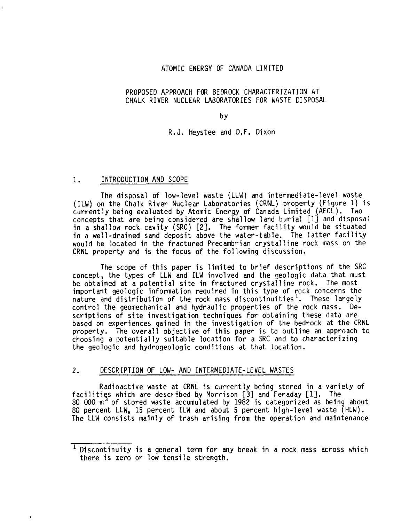#### ATOMIC ENERGY OF CANADA LIMITED

## PROPOSED APPROACH FOR BEDROCK CHARACTERIZATION AT CHALK RIVER NUCLEAR LABORATORIES FOR WASTE DISPOSAL

#### by

## R.J. Heystee and D.F. Dixon

#### 1. INTRODUCTION AND SCOPE

 $\bullet$ 

The disposal of low-level waste (LLW) and intermediate-level waste (ILW) on the Chalk River Nuclear Laboratories (CRNL) property (Figure 1) is currently being evaluated by Atomic Energy of Canada Limited (AECL). Two concepts that are being considered are shallow land burial [1] and disposal in a shallow rock cavity (SRC) [2]. The former facility would be situated in a well-drained sand deposit above the water-table. The latter facility would be located in the fractured Precambrian crystalline rock mass on the CRNL property and is the focus of the following discussion.

The scope of this paper is limited to brief descriptions of the SRC concept, the types of LLW and ILW involved and the geologic data that must be obtained at a potential site in fractured crystalline rock. The most important geologic information required in this type of rock concerns the  $n$  ature and distribution of the rock mass discontinuities<sup>1</sup>. These largely control the geomechanical and hydraulic properties of the rock mass. Descriptions of site investigation techniques for obtaining these data are based on experiences gained in the investigation of the bedrock at the CRNL property. The overall objective of this paper is to outline an approach to choosing a potentially suitable location for a SRC and to characterizing the geologic and hydrogeologic conditions at that location.

#### 2. DESCRIPTION OF LOW- AND INTERMEDIATE-LEVEL WASTES

Radioactive waste at CRNL is currently being stored in a variety of facilities which are described by Morrison [3] and Feraday [1]. The 80 000  $m<sup>3</sup>$  of stored waste accumulated by 1982 is categorized as being about 80 percent LLW, 15 percent ILW and about 5 percent high-level waste (HLW). The LLW consists mainly of trash arising from the operation and maintenance

 $1$  Discontinuity is a general term for any break in a rock mass across which there is zero or low tensile strength.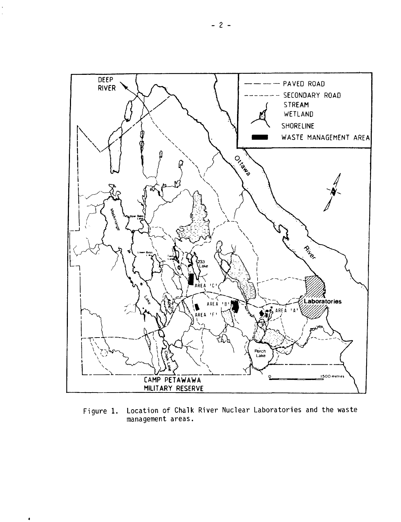

**Figure 1. Location of Chalk River Nuclear Laboratories and the waste management areas.**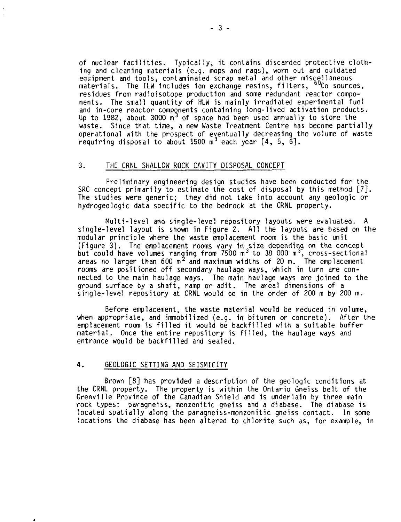of nuclear facilities. Typically, it contains discarded protective clothing and cleaning materials (e.g. mops and rags), worn out and outdated equipment and tools, contaminated scrap metal and other miscellaneous materials. The ILW includes ion exchange resins, filters,  $60<sup>o</sup>$  sources, residues from radioisotope production and some redundant reactor components. The small quantity of HLW is mainly irradiated experimental fuel and in-core reactor components containing long-lived activation products. Up to 1982, about 3000 m<sup>3</sup> of space had been used annually to store the waste. Since that time, a new Waste Treatment Centre has become partially operational with the prospect of eventually decreasing the volume of waste requiring disposal to about 1500  $m^3$  each year [4, 5, 6].

#### 3. THE CRNL SHALLOW ROCK CAVITY DISPOSAL CONCEPT

Preliminary engineering design studies have been conducted for the SRC concept primarily to estimate the cost of disposal by this method [7]. The studies were generic; they did not take into account any geologic or hydrogeologic data specific to the bedrock at the CRNL property.

Multi-level and single-level repository layouts were evaluated. A single-level layout is shown in Figure 2. All the layouts are based on the modular principle where the waste emplacement room is the basic unit (Figure 3) . The emplacement rooms vary in size depending on the concept trigure 3). The employment rooms vary  $\frac{3}{100}$  m<sup>3</sup> to 38 000 m<sup>3</sup>, cross-sectional areas no larger than  $600 \text{ m}^2$  and maximum widths of 20 m. The emplacement rooms are positioned off secondary haulage ways, which in turn are connected to the main haulage ways. The main haulage ways are joined to the ground surface by a shaft, ramp or adit. The areal dimensions of a single-level repository at CRNL would be in the order of 200 m by 200 m.

Before emplacement, the waste material would be reduced in volume, when appropriate, and immobilized (e.g. in bitumen or concrete). After the emplacement room is filled it would be backfilled with a suitable buffer material. Once the entire repository is filled, the haulage ways and entrance would be backfilled and sealed.

#### 4. GEOLOGIC SETTING AND SEISMICITY

Brown [8] has provided a description of the geologic conditions at the CRNL property. The property is within the Ontario Gneiss belt of the Grenville Province of the Canadian Shield and is underlain by three main rock types: paragneiss, monzonitic gneiss and a diabase. The diabase is located spatially along the paragneiss-monzonitic gneiss contact. In some locations the diabase has been altered to chlorite such as, for example, in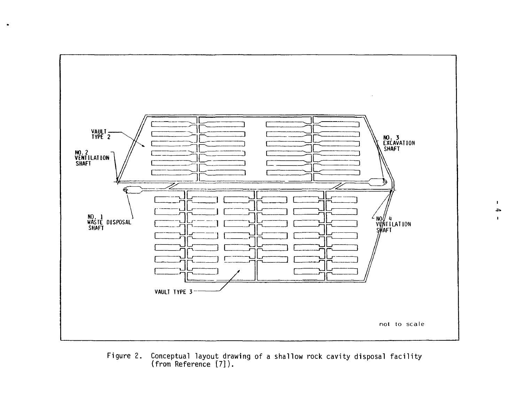

Figure 2. Conceptual layout drawing of a shallow rock cavity disposal facility (from Reference [7]).

 $\blacksquare$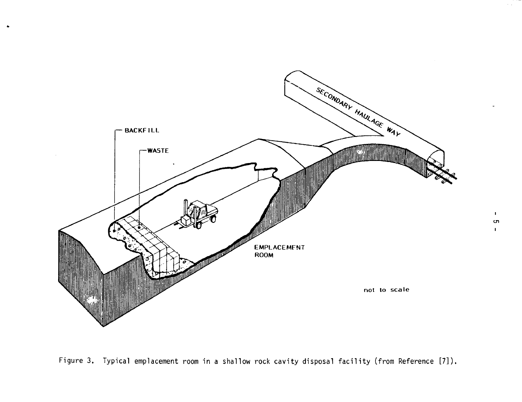

 $\sim 10^7$ 

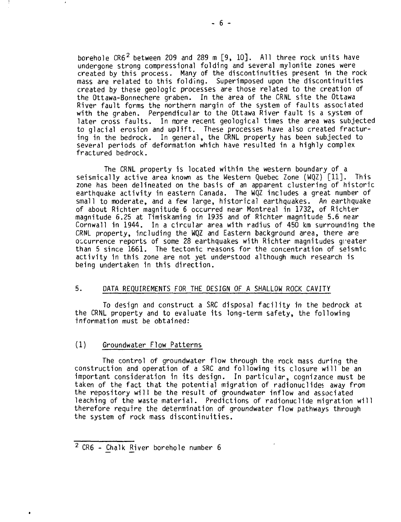borehole  $CR6<sup>2</sup>$  between 209 and 289 m  $[9, 10]$ . All three rock units have undergone strong compressional folding and several mylonite zones were created by this process. Many of the discontinuities present in the rock mass are related to this folding. Superimposed upon the discontinuities created by these geologic processes are those related to the creation of the Ottawa-Bonnechere graben. In the area of the CRNL site the Ottawa River fault forms the northern margin of the system of faults associated with the graben. Perpendicular to the Ottawa River fault is a system of later cross faults. In more recent geological times the area was subjected to glacial erosion and uplift. These processes have also created fracturing in the bedrock. In general, the CRNL property has been subjected to several periods of deformation which have resulted in a highly complex fractured bedrock.

The CRNL property is located within the western boundary of a seismically active area known as the Western Quebec Zone (WQZ) [11]. This zone has been delineated on the basis of an apparent clustering of historic earthquake activity in eastern Canada. The WQZ includes a great number of small to moderate, and a few large, historical earthquakes. An earthquake of about Richter magnitude 6 occurred near Montreal in 1732, of Richter magnitude 6.25 at Timiskaming in 1935 and of Richter magnitude 5.6 near Cornwall in 1944. In a circular area with radius of 450 km surrounding the CRNL property, including the WQZ and Eastern background area, there are occurrence reports of some 28 earthquakes with Richter magnitudes greater than 5 since 1661. The tectonic reasons for the concentration of seismic activity in this zone are not yet understood although much research is being undertaken in this direction.

## 5. DATA REQUIREMENTS FOR THE DESIGN OF A SHALLOW ROCK CAVITY

To design and construct a SRC disposal facility in the bedrock at the CRNL property and to evaluate its long-term safety, the following information must be obtained:

#### (1) Groundwater Flow Patterns

The control of groundwater flow through the rock mass during the construction and operation of a SRC and following its closure will be an important consideration in its design. In particular, cognizance must be taken of the fact that the potential migration of radionuclides away from the repository will be the result of groundwater inflow and associated leaching of the waste material. Predictions of radionuclide migration will therefore require the determination of groundwater flow pathways through the system of rock mass discontinuities.

<sup>2</sup> CR6 - Chalk River borehole number 6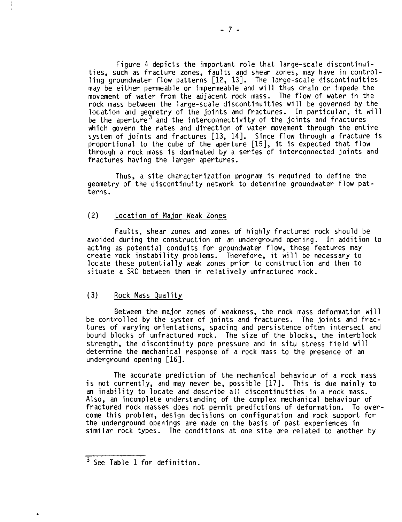Figure 4 depicts the important role that large-scale discontinuities, such as fracture zones, faults and shear zones, may have in controlling groundwater flow patterns [12, 13]. The large-scale discontinuities may be either permeable or impermeable and will thus drain or impede the movement of water from the adjacent rock mass. The flow of water in the rock mass between the large-scale discontinuities will be governed by the location and geometry of the joints and fractures. In particular, it will be the aperture<sup>3</sup> and the interconnectivity of the joints and fractures which govern the rates and direction of vater movement through the entire system of joints and fractures [13, 14]. Since flow through a fracture is proportional to the cube cf the aperture [15], it is expected that flow through a rock mass is dominated by a series of interconnected joints and fractures having the larger apertures.

Thus, a site characterization program is required to define the geometry of the discontinuity network to determine groundwater flow patterns.

## (2) Location of Major Weak Zones

Faults, shear zones and zones of highly fractured rock should be avoided during the construction of an underground opening. In addition to acting as potential conduits for groundwater flow, these features may create rock instability problems. Therefore, it will be necessary to locate these potentially weak zones prior to construction and then to situate a SRC between them in relatively unfractured rock.

## (3) Rock Mass Quality

Between the major zones of weakness, the rock mass deformation will be controlled by the system of joints and fractures. The joints and fractures of varying orientations, spacing and persistence often intersect and bound blocks of unfractured rock. The size of the blocks, the interblock strength, the discontinuity pore pressure and in situ stress field will determine the mechanical response of a rock mass to the presence of an underground opening [16].

The accurate prediction of the mechanical behaviour of a rock mass is not currently, and may never be, possible [17]. This is due mainly to an inability to locate and describe all discontinuities in a rock mass. Also, an incomplete understanding of the complex mechanical behaviour of fractured rock masses does not permit predictions of deformation. To overcome this problem, design decisions on configuration and rock support for the underground openings are made on the basis of past experiences in similar rock types. The conditions at one site are related to another by

<sup>3</sup> See Table 1 for definition.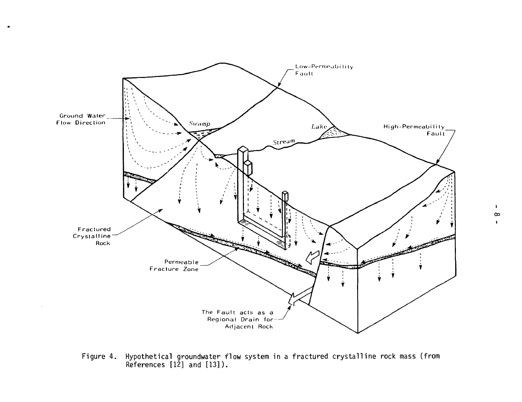

Figure 4. Hypothetical groundwater flow system in a fractured crystalline rock mass (from References [12] and [13]).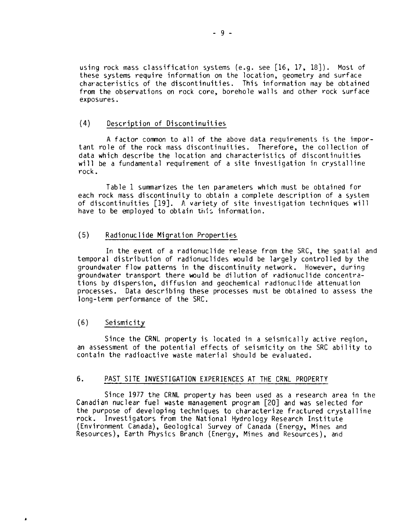using rock mass classification systems (e.g. see [16, 17, 18]). Most of these systems require information on the location, geometry and surface characteristics of the discontinuities. This information may be obtained from the observations on rock core, borehole walls and other rock surface exposures.

## (4) Description of Discontinuities

A factor common to all of the above data requirements is the important role of the rock mass discontinuities. Therefore, the collection of data which describe the location and characteristics of discontinuities will be a fundamental requirement of a site investigation in crystalline rock.

Table 1 summarizes the ten parameters which must be obtained for each rock mass discontinuity to obtain a complete description of a system of discontinuities [19]. A variety of site investigation techniques will have to be employed to obtain this information.

#### (5) Radionuclide Migration Properties

In the event of a radionuclide release from the SRC, the spatial and temporal distribution of radionuclides would be largely controlled by the groundwater flow patterns in the discontinuity network. However, during groundwater transport there would be dilution of radionuclide concentrations by dispersion, diffusion and geochemical radionuclide attenuation processes. Data describing these processes must be obtained to assess the long-term performance of the SRC.

#### (6) Seismicity

Since the CRNL property is located in a seismically active region, an assessment of the potential effects of seismicity on the SRC ability to contain the radioactive waste material should be evaluated.

## 6. PAST SITE INVESTIGATION EXPERIENCES AT THE CRNL PROPERTY

Since 1977 the CRNL property has been used as a research area in the Canadian nuclear fuel waste management program [20] and was selected for the purpose of developing techniques to characterize fractured crystalline rock. Investigators from the National Hydrology Research Institute (Environment Canada), Geological Survey of Canada (Energy, Mines and Resources), Earth Physics Branch (Energy, Mines and Resources), and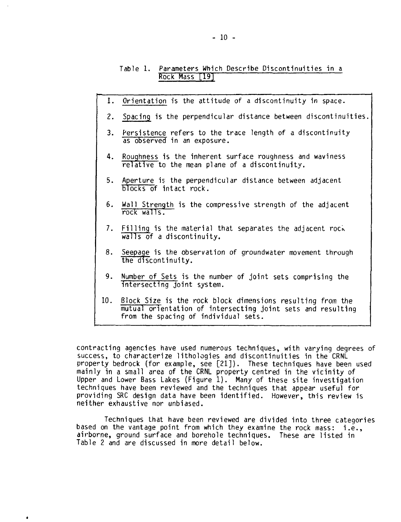## Table 1. Parameters Which Describe Discontinuities in a Rock Mass T19T

- 1. Orientation is the attitude of a discontinuity in space.
- 2. Spacing is the perpendicular distance between discontinuities,
- 3. Persistence refers to the trace length of a discontinuity as observed in an exposure.
- 4. Roughness is the inherent surface roughness and waviness relative to the mean plane of a discontinuity.
- 5. Aperture is the perpendicular distance between adjacent blocks of intact rock.
- 6. Wall Strength is the compressive strength of the adjacent rock walls.
- 7. Filling is the material that separates the adjacent rock walls of a discontinuity.
- 8. Seepage is the observation of groundwater movement through the discontinuity.
- 9. Number of Sets is the number of joint sets comprising the intersecting joint system.
- 10. Block Size is the rock block dimensions resulting from the mutual orientation of intersecting joint sets and resulting from the spacing of individual sets.

contracting agencies have used numerous techniques, with varying degrees of success, to characterize lithologies and discontinuities in the CRNL property bedrock (for example, see [21]). These techniques have been used mainly in a small area of the CRNL property centred in the vicinity of Upper and Lower Bass Lakes (Figure 1). Many of these site investigation techniques have been reviewed and the techniques that appear useful for providing SRC design data have been identified. However, this review is neither exhaustive nor unbiased.

Techniques that have been reviewed are divided into three categories based on the vantage point from which they examine the rock mass: i.e., airborne, ground surface and borehole techniques. These are listed in Table 2 and are discussed in more detail below.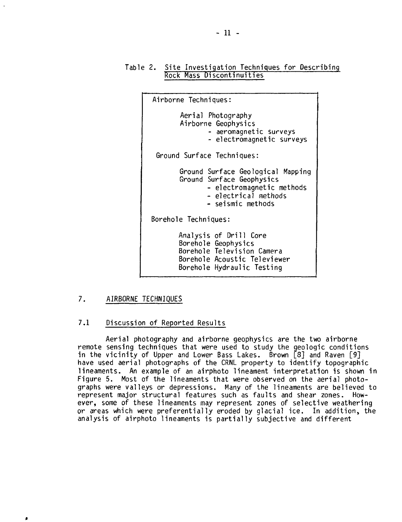## Table 2. Site Investigation Techniques for Describing Rock Mass Discontinuities



## 7. AIRBORNE TECHNIQUES

## 7.1 Discussion of Reported Results

Aerial photography and airborne geophysics are the two airborne remote sensing techniques that were used to study the geologic conditions in the vicinity of Upper and Lower Bass Lakes. Brown [8] and Raven [9] have used aerial photographs of the CRNL property to identify topographic lineaments. An example of an airphoto lineament interpretation is shown in Figure 5. Most of the lineaments that were observed on the aerial photographs were valleys or depressions. Many of the lineaments are believed to represent major structural features such as faults and shear zones. However, some of these lineaments may represent zones of selective weathering or areas which were preferentially eroded by glacial ice. In addition, the analysis of airphoto lineaments is partially subjective and different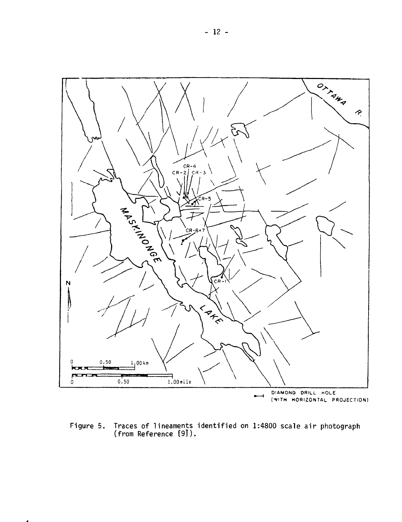

Figure 5. Traces of lineaments identified on 1:4800 scale air photograph (from Reference [9]).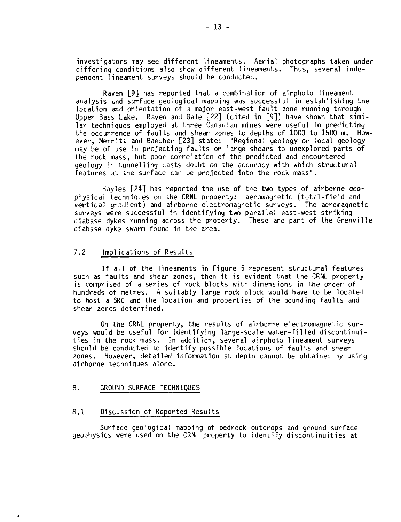investigators may see different lineaments. Aerial photographs taken under differing conditions also show different lineaments. Thus, several independent lineament surveys should be conducted.

Raven [9] has reported that a combination of airphoto lineament analysis and surface geological mapping was successful in establishing the location and orientation of a major east-west fault zone running through Upper Bass Lake. Raven and Gale [22] (cited in [9]) have shown that similar techniques employed at three Canadian mines were useful in predicting the occurrence of faults and shear zones to depths of 1000 to 1500 m. However, Merritt and Baecher [23] state: "Regional geology or local geology may be of use in projecting faults or large shears to unexplored parts of the rock mass, but poor correlation of the predicted and encountered geology in tunnelling casts doubt on the accuracy with which structural features at the surface can be projected into the rock mass".

Hayles [24] has reported the use of the two types of airborne geophysical techniques on the CRNL property: aeromagnetic (total-field and vertical gradient) and airborne electromagnetic surveys. The aeromagnetic surveys were successful in identifying two parallel east-west striking diabase dykes running across the property. These are part of the Grenville diabase dyke swarm found in the area.

## 7.2 Implications of Results

If all of the lineaments in Figure 5 represent structural features such as faults and shear zones, then it is evident that the CRNL property is comprised of a series of rock blocks with dimensions in the order of hundreds of metres. A suitably large rock block would have to be located to host a SRC and the location and properties of the bounding faults and shear zones determined.

On the CRNL property, the results of airborne electromagnetic surveys would be useful for identifying large-scale water-filled discontinuities in the rock mass. In addition, several airphoto lineament surveys should be conducted to identify possible locations of faults and shear zones. However, detailed information at depth cannot be obtained by using airborne techniques alone.

#### 8. GROUND SURFACE TECHNIQUES

#### 8.1 Discussion of Reported Results

Surface geological mapping of bedrock outcrops and ground surface geophysics were used on the CRNL property to identify discontinuities at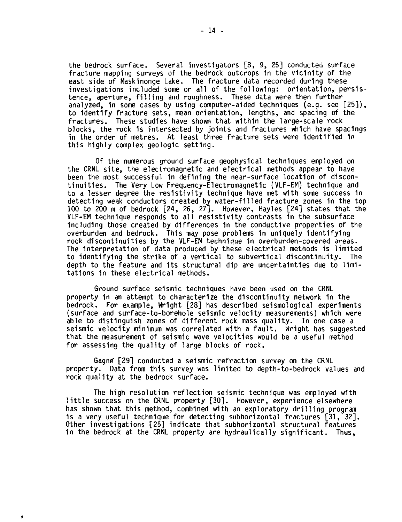**the bedrock surface. Several investigators [8, 9, 25] conducted surface fracture mapping surveys of the bedrock outcrops in the vicinity of the east side of Maskinonge Lake. The fracture data recorded during these investigations included some or all of the following: orientation, persistence, aperture, filling and roughness. These data were then further analyzed, in some cases by using computer-aided techniques (e.g. see [25]), to identify fracture sets, mean orientation, lengths, and spacing of the fractures. These studies have shown that within the large-scale rock blocks, the rock is intersected by joints and fractures which have spacings in the order of metres. At least three fracture sets were identified in this highly complex geologic setting.**

**Of the numerous ground surface geophysical techniques employed on the CRNL site, the electromagnetic and electrical methods appear to have been the most successful in defining the near-surface location of discontinuities. The Very Low Frequency-Electromagnetic (VLF-EM) technique and to a lesser degree the resistivity technique have met with some success in detecting weak conductors created by water-filled fracture zones in the top 100 to 200 m of bedrock [24, 26, 27]. However, Hayles [24] states that the VLF-EM technique responds to all resistivity contrasts in the subsurface including those created by differences in the conductive properties of the overburden and bedrock. This may pose problems in uniquely identifying rock discontinuities by the VLF-EM technique in overburden-covered areas. The interpretation of data produced by these electrical methods is limited to identifying the strike of a vertical to subvertical discontinuity. The depth to the feature and its structural dip are uncertainties due to limitations in these electrical methods.**

**Ground surface seismic techniques have been used on the CRNL property in an attempt to characterize the discontinuity network in the bedrock. For example, Wright [28] has described seismological experiments (surface and surface-to-borehole seismic velocity measurements) which were able to distinguish zones of different rock mass quality. In one case a seismic velocity minimum was correlated with a fault. Wright has suggested that the measurement of seismic wave velocities would be a useful method for assessing the quality of large blocks of rock.**

**Gagne" [29] conducted a seismic refraction survey on the CRNL property. Data from this survey was limited to depth-to-bedrock values and rock quality at the bedrock surface.**

**The high resolution reflection seismic technique was employed with little success on the CRNL property [30]. However, experience elsewhere has shown that this method, combined with an exploratory drilling program is a very useful technique for detecting subhorizontal fractures [31, 32]. Other investigations [25] indicate that subhorizontal structural features in the bedrock at the CRNL property are hydraulically significant. Thus,**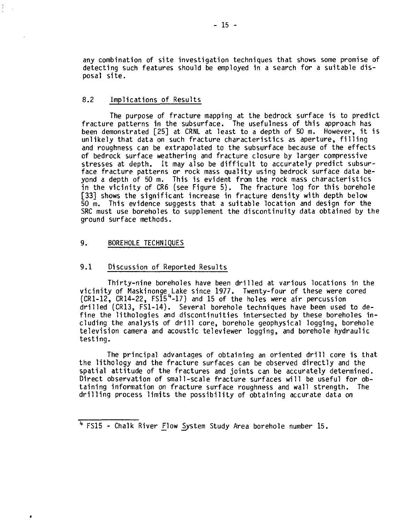any combination of site investigation techniques that shows some promise of detecting such features should be employed in a search for a suitable disposal site.

## 8.2 Implications of Results

The purpose of fracture mapping at the bedrock surface is to predict fracture patterns in the subsurface. The usefulness of this approach has been demonstrated [25] at CRNL at least to a depth of 50 m. However, it is unlikely that data on such fracture characteristics as aperture, filling and roughness can be extrapolated to the subsurface because of the effects of bedrock surface weathering and fracture closure by larger compressive stresses at depth. It may also be difficult to accurately predict subsurface fracture patterns or rock mass quality using bedrock surface data beyond a depth of 50 m. This is evident from the rock mass characteristics in the vicinity of CR6 (see Figure 5). The fracture log for this borehole [33] shows the significant increase in fracture density with depth below 50 m. This evidence suggests that a suitable location and design for the SRC must use boreholes to supplement the discontinuity data obtained by the ground surface methods.

## 9. BOREHOLE TECHNIQUES

 $\bullet$ 

#### 9.1 Discussion of Reported Results

Thirty-nine boreholes have been drilled at various locations in the vicinity of Maskinonge Lake since 1977. Twenty-four of these were cored (CR1-12, CR14-22, FS $\tilde{1}5^4$ -17) and 15 of the holes were air percussion drilled (CR13, FS1-14). Several borehole techniques have been used to define the lithologies and discontinuities intersected by these boreholes including the analysis of drill core, borehole geophysical logging, borehole television camera and acoustic televiewer logging, and borehole hydraulic testing.

The principal advantages of obtaining an oriented drill core is that the lithology and the fracture surfaces can be observed directly and the spatial attitude of the fractures and joints can be accurately determined. Direct observation of small-scale fracture surfaces will be useful for obtaining information on fracture surface roughness and wall strength. The drilling process limits the possibility of obtaining accurate data on

<sup>&</sup>lt;sup>4</sup> FS15 - Chalk River Flow System Study Area borehole number 15.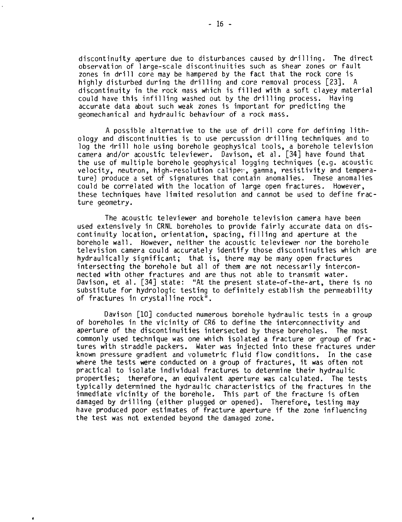discontinuity aperture due to disturbances caused by drilling. The direct observation of large-scale discontinuities such as shear zones or fault zones in drill core may be hampered by the fact that the rock core is highly disturbed during the drilling and core removal process [23]. A discontinuity in the rock mass which is filled with a soft clayey material could have this infilling washed out by the drilling process. Having accurate data about such weak zones is important for predicting the geomechanical and hydraulic behaviour of a rock mass.

A possible alternative to the use of drill core for defining lithology and discontinuities is to use percussion drilling techniques and to log the drill hole using borehole geophysical tools, a borehole television camera and/or acoustic televiewer. Davison, et al. [34] have found that the use of multiple borehole geophysical logging techniques (e.g. acoustic velocity, neutron, high-resolution caliper, gamma, resistivity and temperature) produce a set of signatures that contain anomalies. These anomalies could be correlated with the location of large open fractures. However, these techniques have limited resolution and cannot be used to define fracture geometry.

The acoustic televiewer and borehole television camera have been used extensively in CRNL boreholes to provide fairly accurate data on discontinuity location, orientation, spacing, filling and aperture at the borehole wall. However, neither the acoustic televiewer nor the borehole television camera could accurately identify those discontinuities which are hydraulically significant; that is, there may be many open fractures intersecting the borehole but all of them are not necessarily interconnected with other fractures and are thus not able to transmit water. Davison, et al. [34] state: "At the present state-of-the-art, there is no substitute for hydrologic testing to definitely establish the permeability of fractures in crystalline rock".

Davison [10] conducted numerous borehole hydraulic tests in a group of boreholes in the vicinity of CR6 to define the interconnectivity and aperture of the discontinuities intersected by these boreholes. The most commonly used technique was one which isolated a fracture or group of fractures with straddle packers. Water was injected into these fractures under known pressure gradient and volumetric fluid flow conditions. In the case where the tests were conducted on a group of fractures, it was often not practical to isolate individual fractures to determine their hydraulic properties; therefore, an equivalent aperture was calculated. The tests typically determined the hydraulic characteristics of the fractures in the immediate vicinity of the borehole. This part of the fracture is often damaged by drilling (either plugged or opened). Therefore, testing may have produced poor estimates of fracture aperture if the zone influencing the test was not extended beyond the damaged zone.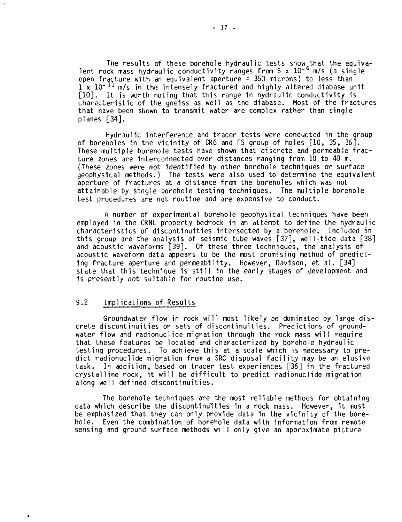The results of these borehole hydraulic tests show that the equivalent rock mass hydraulic conductivity ranges from 5 x 10<sup>-6</sup> m/s (a single open fracture with an equivalent aperture = 350 microns) to less than  $1$  x  $10$ -  $^{11}$  m/s in the intensely fractured and highly altered diabase unit [10]. It is worth noting that this range in hydraulic conductivity is characteristic of the gneiss as well as the diabase. Most of the fractures that have been shown to transmit water are complex rather than single planes [34].

Hydraulic interference and tracer tests were conducted in the group of boreholes in the vicinity of CR6 and FS group of holes [10, 35, 36]. These multiple borehole tests have shown that discrete and permeable fracture zones are interconnected over distances ranging from 10 to 40 m. (These zones were not identified by other borehole techniques or surface geophysical methods.) The tests were also used to determine the equivalent aperture of fractures at a distance from the boreholes which was not attainable by single borehole testing techniques. The multiple borehole test procedures are not routine and are expensive to conduct.

A number of experimental borehole geophysical techniques have been employed in the CRNL property bedrock in an attempt to define the hydraulic characteristics of discontinuities intersected by a borehole. Included in this group are the analysis of seismic tube waves [37], well-tide data [38] and acoustic waveforms [39]. Of these three techniques, the analysis of acoustic waveform data appears to be the most promising method of predicting fracture aperture and permeability. However, Davison, et al. [34] state that this technique is still in the early stages of development and is presently not suitable for routine use.

## 9.2 Implications of Results

Groundwater flow in rock will most likely be dominated by large discrete discontinuities or sets of discontinuities. Predictions of groundwater flow and radionuclide migration through the rock mass will require that these features be located and characterized by borehole hydraulic testing procedures. To achieve this at a scale which is necessary to predict radionuclide migration from a SRC disposal facility may be an elusive task. In addition, based on tracer test experiences [36] in the fractured crystalline rock, it will be difficult to predict radionuclide migration along well defined discontinuities.

The borehole techniques are the most reliable methods for obtaining data which describe the discontinuities in a rock mass. However, it must be emphasized that they can only provide data in the vicinity of the borehole. Even the combination of borehole data with information from remote sensing and ground surface methods will only give an approximate picture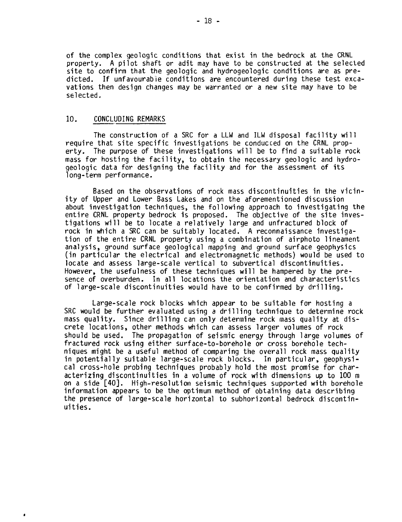of the complex geologic conditions that exist in the bedrock at the CRNL property. A pilot shaft or adit may have to be constructed at the selected site to confirm that the geologic and hydrogeologic conditions are as predicted. If unfavourable conditions are encountered during these test excavations then design changes may be warranted or a new site may have to be selected.

#### 10. CONCLUDING REMARKS

×

The construction of a SRC for a LLW and ILW disposal facility will require that site specific investigations be conducced on the CRNL property. The purpose of these investigations will be to find a suitable rock mass for hosting the facility, to obtain the necessary geologic and hydrogeologic data for designing the facility and for the assessment of its long-term performance.

Based on the observations of rock mass discontinuities in the vicinity of Upper and Lower Bass Lakes and on the aforementioned discussion about investigation techniques, the following approach to investigating the entire CRNL property bedrock is proposed. The objective of the site investigations will be to locate a relatively large and unfractured block of rock in which a SRC can be suitably located. A reconnaissance investigation of the entire CRNL property using a combination of airphoto lineament analysis, ground surface geological mapping and ground surface geophysics (in particular the electrical and electromagnetic methods) would be used to locate and assess large-scale vertical to subvertical discontinuities. However, the usefulness of these techniques will be hampered by the presence of overburden. In all locations the orientation and characteristics of large-scale discontinuities would have to be confirmed by drilling.

Large-scale rock blocks which appear to be suitable for hosting a SRC would be further evaluated using a drilling technique to determine rock mass quality. Since drilling can only determine rock mass quality at discrete locations, other methods which can assess larger volumes of rock should be used. The propagation of seismic energy through large volumes of fractured rock using either surface-to-borehole or cross borehole techniques might be a useful method of comparing the overall rock mass quality in potentially suitable large-scale rock blocks. In particular, geophysical cross-hole probing techniques probably hold the most promise for characterizing discontinuities in a volume of rock with dimensions up to 100 m on a side [40]. High-resolution seismic techniques supported with borehole information appears to be the optimum method of obtaining data describing the presence of large-scale horizontal to subhorizontal bedrock discontinuities.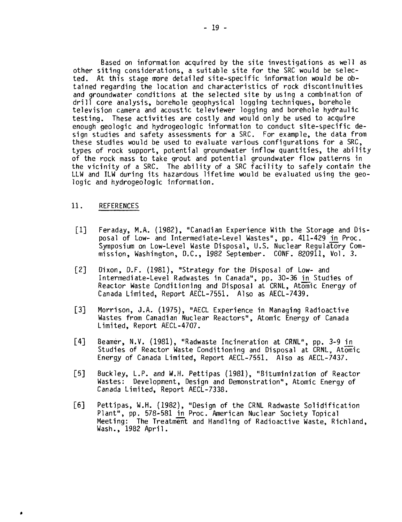Based on information acquired by the site investigations as well as other siting considerations, a suitable site for the SRC would be selected. At this stage more detailed site-specific information would be obtained regarding the location and characteristics of rock discontinuities and groundwater conditions at the selected site by using a combination of drill core analysis, borehole geophysical logging techniques, borehole television camera and acoustic televiewer logging and borehole hydraulic testing. These activities are costly and would only be used to acquire enough geologic and hydrogeologic information to conduct site-specific design studies and safety assessments for a SRC. For example, the data from these studies would be used to evaluate various configurations for a SRC, types of rock support, potential groundwater inflow quantities, the ability of the rock mass to take grout and potential groundwater flow patterns in the vicinity of a SRC. The ability of a SRC facility to safely contain the LLW and ILW during its hazardous lifetime would be evaluated using the geologic and hydrogeologic information.

#### 11. REFERENCES

- [1] Feraday, M.A. (1982), "Canadian Experience With the Storage and Disposal of Low- and Intermediate-Level Wastes", pp. 411-429 in Proc. Symposium on Low-Level Waste Disposal, U.S. Nuclear Regulatory Commission, Washington, D.C., 1982 September. CONF. 820911, Vol. 3.
- [2] Dixon, D.F. (1981), "Strategy for the Disposal of Low- and Intermediate-Level Radwastes in Canada", pp. 30-36 in Studies of Reactor Waste Conditioning and Disposal at CRNL, Atomic Energy of Canada Limited, Report AECL-7551. Also as AECL-7439.
- [3] Morrison, J.A. (1975), "AECL Experience in Managing Radioactive Wastes from Canadian Nuclear Reactors", Atomic Energy of Canada Limited, Report AECL-4707.
- [4] Beamer, N.V. (1981), "Radwaste Incineration at CRNL", pp. 3-9 in Studies of Reactor Waste Conditioning and Disposal at CRNL, Atomic Energy of Canada Limited, Report AECL-7551. Also as AECL-7437.
- [5] Buckley, L.P. and W.H, Pettipas (1981), "Bituminization of Reactor Wastes: Development, Design and Demonstration", Atomic Energy of Canada Limited, Report AECL-7338.
- [6] Pettipas, W.H. (1982), "Design of the CRNL Radwaste Solidification Plant", pp. 578-581 in Proc. American Nuclear Society Topical Meeting: The Treatment and Handling of Radioactive Waste, Richland, Wash., 1982 April.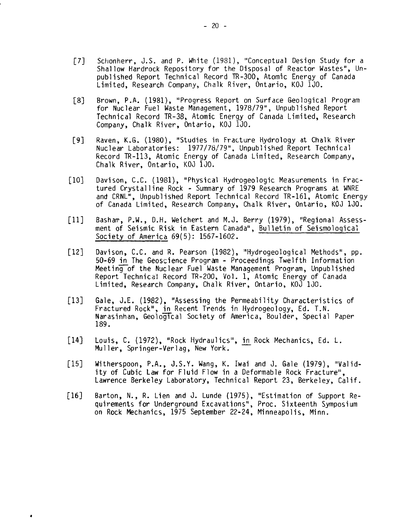- [7] Schonherr, J.S. and P. White (1981), "Conceptual Design Study for a Shallow Hardrock Repository for the Disposal of Reactor Wastes", Unpublished Report Technical Record TR-300, Atomic Energy of Canada Limited, Research Company, Chalk River, Ontario, KOJ 1J0.
- [8] Brown, P.A. (1981), "Progress Report on Surface Geological Program for Nuclear Fuel Waste Management, 1978/79", Unpublished Report Technical Record TR-38, Atomic Energy of Canada Limited, Research Company, Chalk River, Ontario, KOJ 1J0.
- [9] Raven, K.G. (1980), "Studies in Fracture Hydrology at Chalk River Nuclear Laboratories: 1977/78/79", Unpublished Report Technical Record TR-113, Atomic Energy of Canada Limited, Research Company, Chalk River, Ontario, KOJ 1J0.
- [10] Davison, C.C. (1981), "Physical Hydrogeologic Measurements in Fractured Crystalline Rock - Summary of 1979 Research Programs at WNRE and CRNL", Unpublished Report Technical Record TR-161, Atomic Energy of Canada Limited, Research Company, Chalk River, Ontario, KOJ 1J0.
- [11] Basharr, P.W., D.H. Weichert and M.J. Berry (1979), "Regional Assessment of Seismic Risk in Eastern Canada", Bulletin of Seismological Society of America 69(5): 1567-1602.
- [12] Davison, C.C. and R. Pearson (1982), "Hydrogeological Methods", pp. 50-69 in The Geoscience Program - Proceedings Twelfth Information Meeting of the Nuclear Fuel Waste Management Program, Unpublished Report Technical Record TR-200, Vol. 1, Atomic Energy of Canada Limited, Research Company, Chalk River, Ontario, KOJ 1J0.
- [13] Gale, J.E. (1982), "Assessing the Permeability Characteristics of Fractured Rock", in Recent Trends in Hydrogeology, Ed. T.N. Narasinhan, Geological Society of America, Boulder, Special Paper 189.
- [14] Louis, C. (1972), "Rock Hydraulics", in Rock Mechanics, Ed. L. Muller, Springer-Verlag, New York.
- [15] Witherspoon, P.A., J.S.Y. Wang, K. Iwai and J. Gale (1979), "Validity of Cubic Law for Fluid Flow in a Deformable Rock Fracture", Lawrence Berkeley Laboratory, Technical Report 23, Berkeley, Calif.
- [16] Barton, N., R. Lien and J. Lunde (1975), "Estimation of Support Requirements for Underground Excavations", Proc. Sixteenth Symposium on Rock Mechanics, 1975 September 22-24, Minneapolis, Minn.

 $\bullet$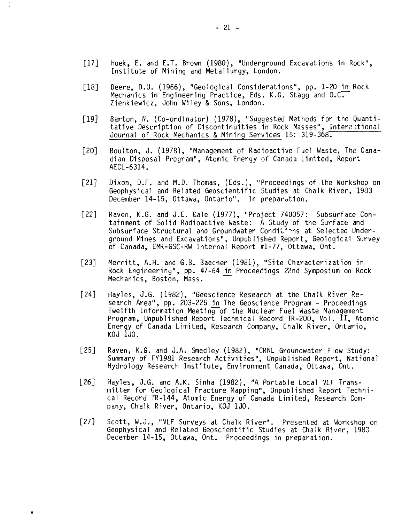- [17] Hoek, E. and E.T. Brown (1980), "Underground Excavations in Rock", Institute of Mining and Metallurgy, London.
- [18] Deere, D.U. (1966), "Geological Considerations", pp. 1-20 in Rock Mechanics in Engineering Practice, Eds. K.G. Stagg and O.C. Zienkiewicz, John Wiley & Sons, London.
- [19] Barton, N. (Co-ordinator) (1978), "Suggested Methods for the Quantitative Description of Discontinuities in Rock Masses", International Journal of Rock Mechanics & Mining Services 15: 319-368.
- [20] Boulton, J. (1978), "Management of Radioactive Fuel Waste, The Canadian Disposal Program", Atomic Energy of Canada Limited, Report AECL-6314.
- [21] Dixon, D.F. and M.D. Thomas, (Eds.), "Proceedings of the Workshop on Geophysical and Related Geoscientific Studies at Chalk River, 1983 December 14-15, Ottawa, Ontario". In preparation.
- [22] Raven, K.G. and J.E. Gale (1977), "Project 740057: Subsurface Containment of Solid Radioactive Waste: A Study of the Surface and Subsurface Structural and Groundwater Conditions at Selected Underground Mines and Excavations", Unpublished Report, Geological Survey of Canada, EMR-GSC-RW Internal Report #1-77, Ottawa, Ont.
- [23] Merritt, A.H. and G.B. Baecher (1981), "Site Characterization in Rock Engineering", pp. 47-64 in Proceedings 22nd Symposium on Rock Mechanics, Boston, Mass.
- [24] Hayles, J.G. (1982), "Geoscience Research at the Chalk River Research Area", pp. 203-225 in The Geoscience Program - Proceedings Twelfth Information Meeting of the Nuclear Fuel Waste Management Program, Unpublished Report Technical Record TR-200, Vol. II, Atomic Energy of Canada Limited, Research Company, Chalk River, Ontario, KOJ 1J0.
- [25] Raven, K.G. and J.A. Smedley (1982), "CRNL Groundwater Flow Study: Summary of FY1981 Research Activities", Unpublished Report, National Hydrology Research Institute, Environment Canada, Ottawa, Ont.
- [26] Hayles, J.G. and A.K. Sinha (1982), "A Portable Local VLF Transmitter for Geological Fracture Mapping", Unpublished Report Technical Record TR-144, Atomic Energy of Canada Limited, Research Company, Chalk River, Ontario, KOJ 1JO.
- [27] Scott, W.J., "VLF Surveys at Chalk River". Presented at Workshop on Geophysical and Related Geoscientific Studies at Chalk River, 1983 December 14-15, Ottawa, Ont. Proceedings in preparation.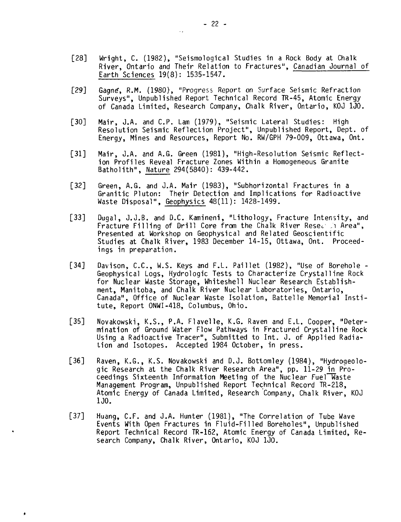- [28] Wright, C. (1982), "Seismological Studies in a Rock Body at Chalk River, Ontario and Their Relation to Fractures", Canadian Journal of Earth Sciences 19(8): 1535-1547.
- [29] Gagne, R.M. (1980), "Progress Report on Surface Seismic Refraction Surveys", Unpublished Report Technical Record TR-45, Atomic Energy of Canada Limited, Research Company, Chalk River, Ontario, KOJ 1J0.
- [30] Mair, J.A. and C.P. Lam (1979), "Seismic Lateral Studies: High Resolution Seismic Reflection Project", Unpublished Report, Oept. of Energy, Mines and Resources, Report No. RW/GPH 79-009, Ottawa, Ont.
- [31] Mair, J.A. and A.G. Green (1981), "High-Resolution Seismic Reflection Profiles Reveal Fracture Zones Within a Homogeneous Granite Batholith", Nature 294(5840): 439-442.
- [32] Green, A.G. and J.A. Mair (1983), "Subhorizontal Fractures in a Granitic Pluton: Their Detection and Implications for Radioactive Waste Disposal", Geophysics 48(11): 1428-1499.
- [33] Dugal, J.J.B. and D.C. Kamineni, "Lithology, Fracture Intensity, and Fracture Filling of Drill Core from the Chalk River Resection Area", Presented at Workshop on Geophysical and Related Geoscientific Studies at Chalk River, 1983 December 14-15, Ottawa, Ont. Proceedings in preparation.
- [34] Davison, C.C., W.S. Keys and F.L. Paillet (1982), "Use of Borehole -Geophysical Logs, Hydrologic Tests to Characterize Crystalline Rock for Nuclear Waste Storage, Whiteshell Nuclear Research Establishment, Manitoba, and Chalk River Nuclear Laboratories, Ontario, Canada", Office of Nuclear Waste Isolation, Battelle Memorial Institute, Report ONWI-418, Columbus, Ohio.
- [35] Novakowski, K.S., P.A. Flavelle, K.G. Raven and E.L. Cooper, "Determination of Ground Water Flow Pathways in Fractured Crystalline Rock Using a Radioactive Tracer", Submitted to Int. J. of Applied Radiation and Isotopes. Accepted 1984 October, in press.
- [36] Raven, K.G., K.S. Novakowski and D.J. Bottomley (1984), "Hydrogeologic Research at the Chalk River Research Area", pp. 11-29 in Proceedings Sixteenth Information Meeting of the Nuclear Fuel Waste Management Program, Unpublished Report Technical Record TR-218, Atomic Energy of Canada Limited, Research Company, Chalk River, KOJ 1J0.
- [37] Huang, C.F. and J.A. Hunter (1981), "The Correlation of Tube Wave Events With Open Fractures in Fluid-Filled Boreholes", Unpublished Report Technical Record TR-162, Atomic Energy of Canada Limited, Research Company, Chalk River, Ontario, KOJ 1J0.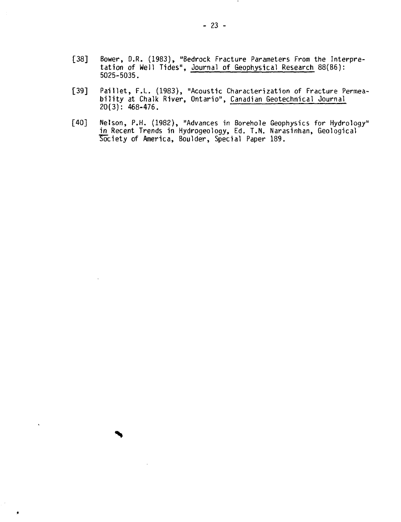- [38] Bower, D.R. (1983), "Bedrock Fracture Parameters From the Interpretation of Well Tides", Journal of Geophysical Research 88(B6): 5025-5035.
- [39] Paillet, F.L. (1983), "Acoustic Characterization of Fracture Permeability at Chalk River, Ontario", Canadian Geotechnical Journal 20(3): 468-476.
- [40] Nelson, P.H. (1982), "Advances in Borehole Geophysics for Hydrology" <u>in</u> Recent Trends in Hydrogeology, Ed. T.N. Narasinhan, Geological Society of America, Boulder, Special Paper 189.

 $\ddot{\phantom{0}}$